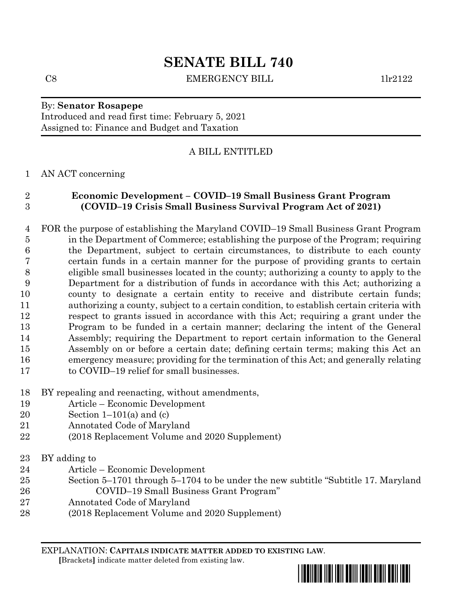# **SENATE BILL 740**

C8 EMERGENCY BILL 1lr2122

## By: **Senator Rosapepe**

Introduced and read first time: February 5, 2021 Assigned to: Finance and Budget and Taxation

### A BILL ENTITLED

#### AN ACT concerning

## **Economic Development – COVID–19 Small Business Grant Program (COVID–19 Crisis Small Business Survival Program Act of 2021)**

- FOR the purpose of establishing the Maryland COVID–19 Small Business Grant Program in the Department of Commerce; establishing the purpose of the Program; requiring the Department, subject to certain circumstances, to distribute to each county certain funds in a certain manner for the purpose of providing grants to certain eligible small businesses located in the county; authorizing a county to apply to the Department for a distribution of funds in accordance with this Act; authorizing a county to designate a certain entity to receive and distribute certain funds; authorizing a county, subject to a certain condition, to establish certain criteria with respect to grants issued in accordance with this Act; requiring a grant under the Program to be funded in a certain manner; declaring the intent of the General Assembly; requiring the Department to report certain information to the General Assembly on or before a certain date; defining certain terms; making this Act an emergency measure; providing for the termination of this Act; and generally relating to COVID–19 relief for small businesses.
- BY repealing and reenacting, without amendments,
- Article Economic Development
- 20 Section  $1-101(a)$  and (c)
- Annotated Code of Maryland
- (2018 Replacement Volume and 2020 Supplement)
- BY adding to
- Article Economic Development
- Section 5–1701 through 5–1704 to be under the new subtitle "Subtitle 17. Maryland COVID–19 Small Business Grant Program"
- Annotated Code of Maryland
- (2018 Replacement Volume and 2020 Supplement)

EXPLANATION: **CAPITALS INDICATE MATTER ADDED TO EXISTING LAW**.  **[**Brackets**]** indicate matter deleted from existing law.

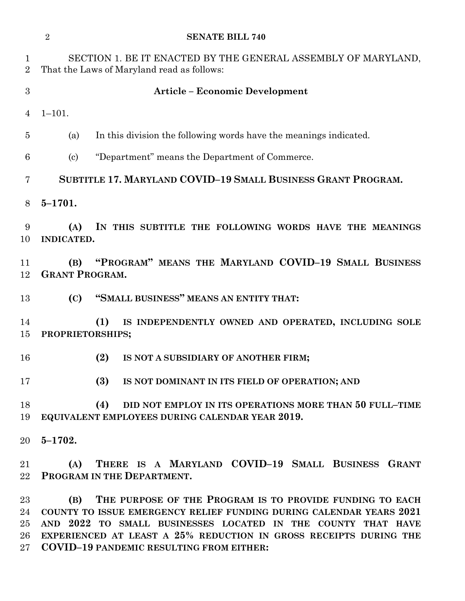|                           | <b>SENATE BILL 740</b><br>$\overline{2}$                                                                          |
|---------------------------|-------------------------------------------------------------------------------------------------------------------|
| $\perp$<br>$\overline{2}$ | SECTION 1. BE IT ENACTED BY THE GENERAL ASSEMBLY OF MARYLAND,<br>That the Laws of Maryland read as follows:       |
| 3                         | <b>Article - Economic Development</b>                                                                             |
| 4                         | $1 - 101.$                                                                                                        |
| $\overline{5}$            | In this division the following words have the meanings indicated.<br>(a)                                          |
| 6                         | "Department" means the Department of Commerce.<br>$\left( \mathrm{c}\right)$                                      |
| 7                         | SUBTITLE 17. MARYLAND COVID-19 SMALL BUSINESS GRANT PROGRAM.                                                      |
| 8                         | $5 - 1701.$                                                                                                       |
| 9<br>10                   | IN THIS SUBTITLE THE FOLLOWING WORDS HAVE THE MEANINGS<br>(A)<br>INDICATED.                                       |
| 11<br>12                  | "PROGRAM" MEANS THE MARYLAND COVID-19 SMALL BUSINESS<br>(B)<br><b>GRANT PROGRAM.</b>                              |
| 13                        | "SMALL BUSINESS" MEANS AN ENTITY THAT:<br>(C)                                                                     |
| 14<br>15                  | (1)<br>IS INDEPENDENTLY OWNED AND OPERATED, INCLUDING SOLE<br>PROPRIETORSHIPS;                                    |
| 16                        | (2)<br>IS NOT A SUBSIDIARY OF ANOTHER FIRM;                                                                       |
| 17                        | (3) IS NOT DOMINANT IN ITS FIELD OF OPERATION; AND                                                                |
| 18<br>19                  | (4)<br>DID NOT EMPLOY IN ITS OPERATIONS MORE THAN 50 FULL-TIME<br>EQUIVALENT EMPLOYEES DURING CALENDAR YEAR 2019. |
| 20                        | $5 - 1702.$                                                                                                       |
| $21\,$<br>$22\,$          | THERE IS A MARYLAND COVID-19 SMALL BUSINESS GRANT<br>(A)<br>PROGRAM IN THE DEPARTMENT.                            |
| $23\,$                    | THE PURPOSE OF THE PROGRAM IS TO PROVIDE FUNDING TO EACH<br>(B)                                                   |

 **COUNTY TO ISSUE EMERGENCY RELIEF FUNDING DURING CALENDAR YEARS 2021 AND 2022 TO SMALL BUSINESSES LOCATED IN THE COUNTY THAT HAVE EXPERIENCED AT LEAST A 25% REDUCTION IN GROSS RECEIPTS DURING THE COVID–19 PANDEMIC RESULTING FROM EITHER:**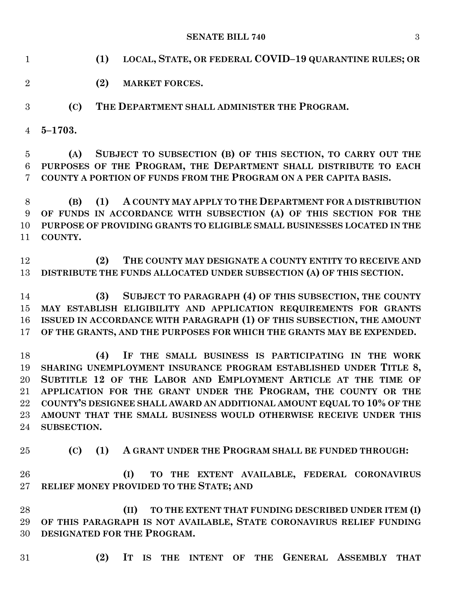## **SENATE BILL 740** 3

| $\mathbf{1}$                       | LOCAL, STATE, OR FEDERAL COVID-19 QUARANTINE RULES; OR<br>(1)                                                                         |
|------------------------------------|---------------------------------------------------------------------------------------------------------------------------------------|
| $\overline{2}$                     | (2)<br><b>MARKET FORCES.</b>                                                                                                          |
| 3                                  | THE DEPARTMENT SHALL ADMINISTER THE PROGRAM.<br>(C)                                                                                   |
| $\overline{4}$                     | $5 - 1703.$                                                                                                                           |
| $\overline{5}$                     | SUBJECT TO SUBSECTION (B) OF THIS SECTION, TO CARRY OUT THE<br>(A)                                                                    |
| $\boldsymbol{6}$<br>$\overline{7}$ | PURPOSES OF THE PROGRAM, THE DEPARTMENT SHALL DISTRIBUTE TO EACH<br>COUNTY A PORTION OF FUNDS FROM THE PROGRAM ON A PER CAPITA BASIS. |
| 8                                  | A COUNTY MAY APPLY TO THE DEPARTMENT FOR A DISTRIBUTION<br>(1)<br>(B)                                                                 |
| 9                                  | OF FUNDS IN ACCORDANCE WITH SUBSECTION (A) OF THIS SECTION FOR THE                                                                    |
| 10                                 | PURPOSE OF PROVIDING GRANTS TO ELIGIBLE SMALL BUSINESSES LOCATED IN THE                                                               |
| 11                                 | COUNTY.                                                                                                                               |
| 12                                 | THE COUNTY MAY DESIGNATE A COUNTY ENTITY TO RECEIVE AND<br>(2)                                                                        |
| 13                                 | DISTRIBUTE THE FUNDS ALLOCATED UNDER SUBSECTION (A) OF THIS SECTION.                                                                  |
|                                    |                                                                                                                                       |
| 14                                 | SUBJECT TO PARAGRAPH (4) OF THIS SUBSECTION, THE COUNTY<br>(3)                                                                        |
| 15                                 | MAY ESTABLISH ELIGIBILITY AND APPLICATION REQUIREMENTS FOR GRANTS                                                                     |
| 16                                 | ISSUED IN ACCORDANCE WITH PARAGRAPH (1) OF THIS SUBSECTION, THE AMOUNT                                                                |
| 17                                 | OF THE GRANTS, AND THE PURPOSES FOR WHICH THE GRANTS MAY BE EXPENDED.                                                                 |
| 18                                 | (4)<br>IF THE SMALL BUSINESS IS PARTICIPATING IN THE WORK                                                                             |
| 19                                 | SHARING UNEMPLOYMENT INSURANCE PROGRAM ESTABLISHED UNDER TITLE 8,                                                                     |
| 20                                 | SUBTITLE 12 OF THE LABOR AND EMPLOYMENT ARTICLE AT THE TIME OF                                                                        |
| 21                                 | APPLICATION FOR THE GRANT UNDER THE PROGRAM, THE COUNTY OR THE                                                                        |
| 22                                 | COUNTY'S DESIGNEE SHALL AWARD AN ADDITIONAL AMOUNT EQUAL TO 10% OF THE                                                                |
| 23                                 | AMOUNT THAT THE SMALL BUSINESS WOULD OTHERWISE RECEIVE UNDER THIS                                                                     |
| 24                                 | SUBSECTION.                                                                                                                           |
| 25                                 | (1) A GRANT UNDER THE PROGRAM SHALL BE FUNDED THROUGH:<br>(C)                                                                         |
| 26                                 | (I)<br>TO THE EXTENT AVAILABLE, FEDERAL CORONAVIRUS                                                                                   |
| 27                                 | RELIEF MONEY PROVIDED TO THE STATE; AND                                                                                               |
|                                    |                                                                                                                                       |
| 28                                 | TO THE EXTENT THAT FUNDING DESCRIBED UNDER ITEM (I)<br>(II)                                                                           |
| 29                                 | OF THIS PARAGRAPH IS NOT AVAILABLE, STATE CORONAVIRUS RELIEF FUNDING                                                                  |
| 30                                 | DESIGNATED FOR THE PROGRAM.                                                                                                           |
| 31                                 | IT IS THE INTENT OF THE GENERAL ASSEMBLY THAT<br>(2)                                                                                  |
|                                    |                                                                                                                                       |